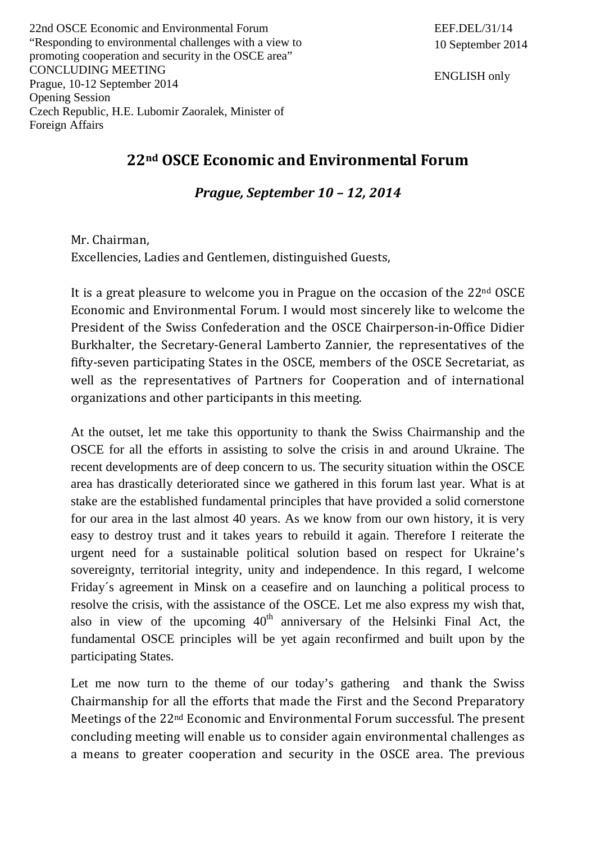22nd OSCE Economic and Environmental Forum "Responding to environmental challenges with a view to promoting cooperation and security in the OSCE area" CONCLUDING MEETING Prague, 10-12 September 2014 Opening Session Czech Republic, H.E. Lubomir Zaoralek, Minister of Foreign Affairs

ENGLISH only

## **22nd OSCE Economic and Environmental Forum**

*Prague, September 10 – 12, 2014*

Mr. Chairman, Excellencies, Ladies and Gentlemen, distinguished Guests,

It is a great pleasure to welcome you in Prague on the occasion of the 22nd OSCE Economic and Environmental Forum. I would most sincerely like to welcome the President of the Swiss Confederation and the OSCE Chairperson-in-Office Didier Burkhalter, the Secretary-General Lamberto Zannier, the representatives of the fifty-seven participating States in the OSCE, members of the OSCE Secretariat, as well as the representatives of Partners for Cooperation and of international organizations and other participants in this meeting.

At the outset, let me take this opportunity to thank the Swiss Chairmanship and the OSCE for all the efforts in assisting to solve the crisis in and around Ukraine. The recent developments are of deep concern to us. The security situation within the OSCE area has drastically deteriorated since we gathered in this forum last year. What is at stake are the established fundamental principles that have provided a solid cornerstone for our area in the last almost 40 years. As we know from our own history, it is very easy to destroy trust and it takes years to rebuild it again. Therefore I reiterate the urgent need for a sustainable political solution based on respect for Ukraine's sovereignty, territorial integrity, unity and independence. In this regard, I welcome Friday´s agreement in Minsk on a ceasefire and on launching a political process to resolve the crisis, with the assistance of the OSCE. Let me also express my wish that, also in view of the upcoming  $40<sup>th</sup>$  anniversary of the Helsinki Final Act, the fundamental OSCE principles will be yet again reconfirmed and built upon by the participating States.

Let me now turn to the theme of our today's gathering and thank the Swiss Chairmanship for all the efforts that made the First and the Second Preparatory Meetings of the 22nd Economic and Environmental Forum successful. The present concluding meeting will enable us to consider again environmental challenges as a means to greater cooperation and security in the OSCE area. The previous